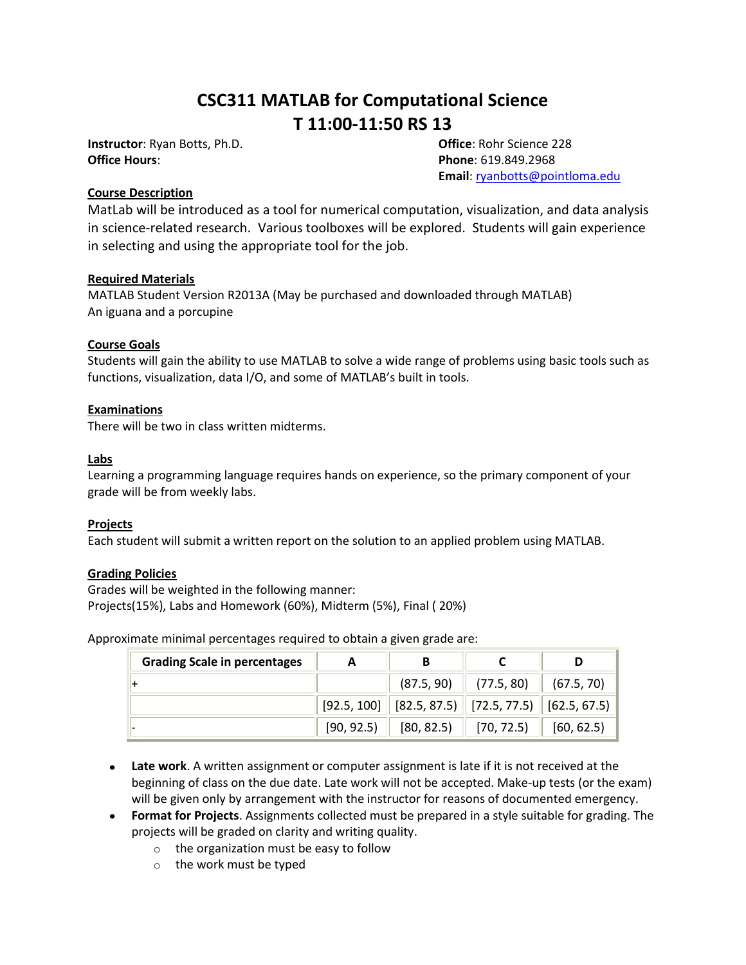# **CSC311 MATLAB for Computational Science T 11:00-11:50 RS 13**

**Instructor**: Ryan Botts, Ph.D. **Office**: Rohr Science 228 **Office Hours**: **Phone**: 619.849.2968

**Email**[: ryanbotts@pointloma.edu](mailto:ryanbotts@pointloma.edu)

#### **Course Description**

MatLab will be introduced as a tool for numerical computation, visualization, and data analysis in science-related research. Various toolboxes will be explored. Students will gain experience in selecting and using the appropriate tool for the job.

#### **Required Materials**

MATLAB Student Version R2013A (May be purchased and downloaded through MATLAB) An iguana and a porcupine

# **Course Goals**

Students will gain the ability to use MATLAB to solve a wide range of problems using basic tools such as functions, visualization, data I/O, and some of MATLAB's built in tools.

#### **Examinations**

There will be two in class written midterms.

#### **Labs**

Learning a programming language requires hands on experience, so the primary component of your grade will be from weekly labs.

# **Projects**

Each student will submit a written report on the solution to an applied problem using MATLAB.

# **Grading Policies**

Grades will be weighted in the following manner: Projects(15%), Labs and Homework (60%), Midterm (5%), Final ( 20%)

Approximate minimal percentages required to obtain a given grade are:

| <b>Grading Scale in percentages</b> |            |                                                            |            |            |
|-------------------------------------|------------|------------------------------------------------------------|------------|------------|
|                                     |            | (87.5, 90)                                                 | (77.5, 80) | (67.5, 70) |
|                                     |            | $[92.5, 100]$ $[82.5, 87.5]$ $[72.5, 77.5]$ $[62.5, 67.5]$ |            |            |
|                                     | [90, 92.5] | [80, 82.5]                                                 | [70, 72.5] | [60, 62.5] |

- **Late work**. A written assignment or computer assignment is late if it is not received at the beginning of class on the due date. Late work will not be accepted. Make-up tests (or the exam) will be given only by arrangement with the instructor for reasons of documented emergency.
- **Format for Projects**. Assignments collected must be prepared in a style suitable for grading. The projects will be graded on clarity and writing quality.
	- o the organization must be easy to follow
	- o the work must be typed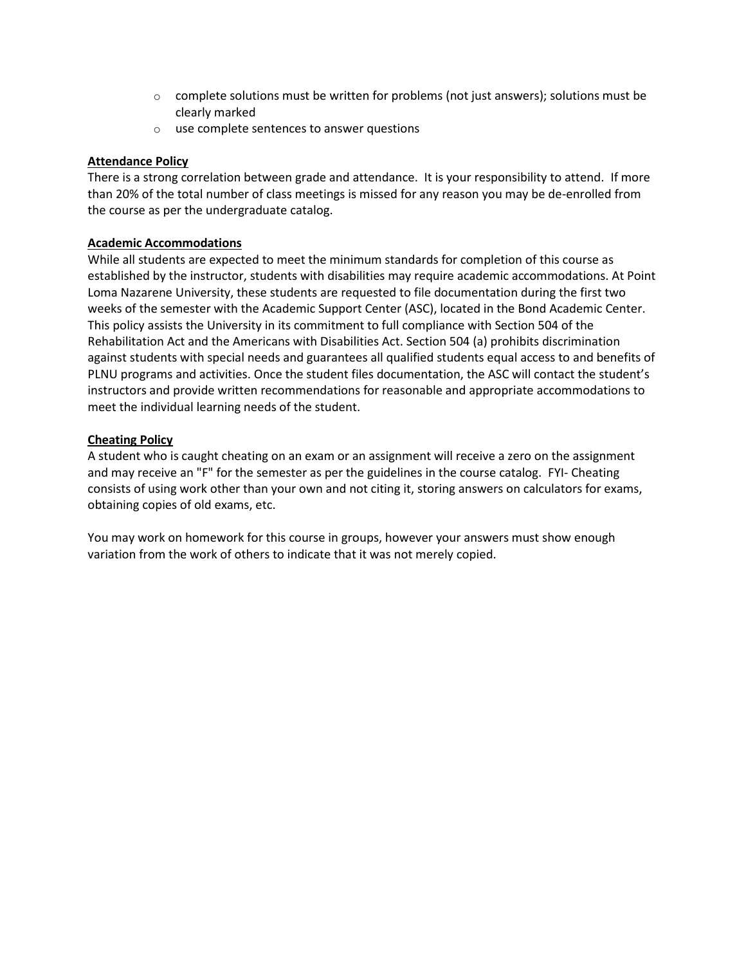- $\circ$  complete solutions must be written for problems (not just answers); solutions must be clearly marked
- o use complete sentences to answer questions

# **Attendance Policy**

There is a strong correlation between grade and attendance. It is your responsibility to attend. If more than 20% of the total number of class meetings is missed for any reason you may be de-enrolled from the course as per the undergraduate catalog.

# **Academic Accommodations**

While all students are expected to meet the minimum standards for completion of this course as established by the instructor, students with disabilities may require academic accommodations. At Point Loma Nazarene University, these students are requested to file documentation during the first two weeks of the semester with the Academic Support Center (ASC), located in the Bond Academic Center. This policy assists the University in its commitment to full compliance with Section 504 of the Rehabilitation Act and the Americans with Disabilities Act. Section 504 (a) prohibits discrimination against students with special needs and guarantees all qualified students equal access to and benefits of PLNU programs and activities. Once the student files documentation, the ASC will contact the student's instructors and provide written recommendations for reasonable and appropriate accommodations to meet the individual learning needs of the student.

# **Cheating Policy**

A student who is caught cheating on an exam or an assignment will receive a zero on the assignment and may receive an "F" for the semester as per the guidelines in the course catalog. FYI- Cheating consists of using work other than your own and not citing it, storing answers on calculators for exams, obtaining copies of old exams, etc.

You may work on homework for this course in groups, however your answers must show enough variation from the work of others to indicate that it was not merely copied.